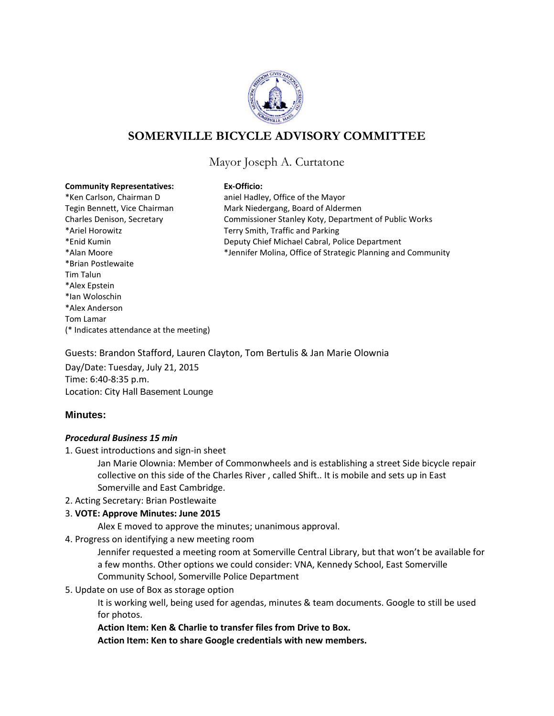

# **SOMERVILLE BICYCLE ADVISORY COMMITTEE**

## Mayor Joseph A. Curtatone

#### **Community Representatives: Ex-Officio:**

\*Ken Carlson, Chairman D aniel Hadley, Office of the Mayor \*Ariel Horowitz Terry Smith, Traffic and Parking \*Brian Postlewaite Tim Talun \*Alex Epstein \*Ian Woloschin \*Alex Anderson Tom Lamar (\* Indicates attendance at the meeting)

Tegin Bennett, Vice Chairman Mark Niedergang, Board of Aldermen Charles Denison, Secretary Commissioner Stanley Koty, Department of Public Works \*Enid Kumin Deputy Chief Michael Cabral, Police Department \*Alan Moore \*Jennifer Molina, Office of Strategic Planning and Community

Guests: Brandon Stafford, Lauren Clayton, Tom Bertulis & Jan Marie Olownia Day/Date: Tuesday, July 21, 2015 Time: 6:40-8:35 p.m. Location: City Hall Basement Lounge

### **Minutes:**

### *Procedural Business 15 min*

1. Guest introductions and sign-in sheet

Jan Marie Olownia: Member of Commonwheels and is establishing a street Side bicycle repair collective on this side of the Charles River , called Shift.. It is mobile and sets up in East Somerville and East Cambridge.

2. Acting Secretary: Brian Postlewaite

### 3. **VOTE: Approve Minutes: June 2015**

Alex E moved to approve the minutes; unanimous approval.

4. Progress on identifying a new meeting room

Jennifer requested a meeting room at Somerville Central Library, but that won't be available for a few months. Other options we could consider: VNA, Kennedy School, East Somerville Community School, Somerville Police Department

5. Update on use of Box as storage option

It is working well, being used for agendas, minutes & team documents. Google to still be used for photos.

**Action Item: Ken & Charlie to transfer files from Drive to Box.** 

**Action Item: Ken to share Google credentials with new members.**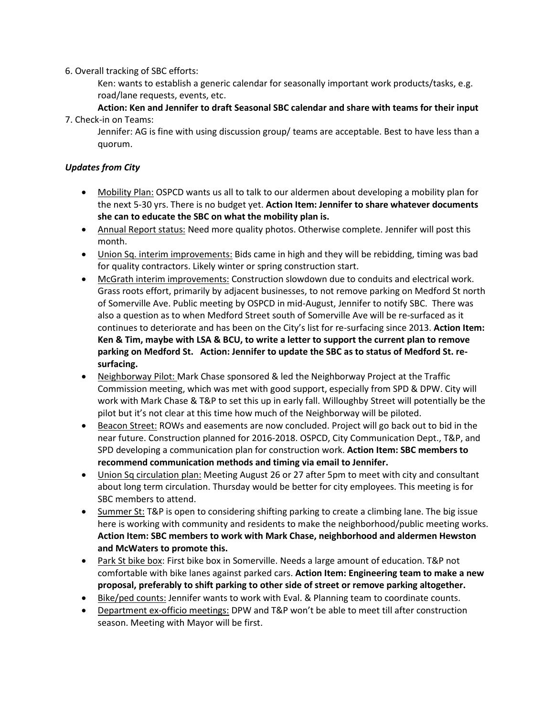### 6. Overall tracking of SBC efforts:

Ken: wants to establish a generic calendar for seasonally important work products/tasks, e.g. road/lane requests, events, etc.

**Action: Ken and Jennifer to draft Seasonal SBC calendar and share with teams for their input** 7. Check-in on Teams:

Jennifer: AG is fine with using discussion group/ teams are acceptable. Best to have less than a quorum.

## *Updates from City*

- Mobility Plan: OSPCD wants us all to talk to our aldermen about developing a mobility plan for the next 5-30 yrs. There is no budget yet. **Action Item: Jennifer to share whatever documents she can to educate the SBC on what the mobility plan is.**
- Annual Report status: Need more quality photos. Otherwise complete. Jennifer will post this month.
- Union Sq. interim improvements: Bids came in high and they will be rebidding, timing was bad for quality contractors. Likely winter or spring construction start.
- McGrath interim improvements: Construction slowdown due to conduits and electrical work. Grass roots effort, primarily by adjacent businesses, to not remove parking on Medford St north of Somerville Ave. Public meeting by OSPCD in mid-August, Jennifer to notify SBC. There was also a question as to when Medford Street south of Somerville Ave will be re-surfaced as it continues to deteriorate and has been on the City's list for re-surfacing since 2013. **Action Item: Ken & Tim, maybe with LSA & BCU, to write a letter to support the current plan to remove parking on Medford St. Action: Jennifer to update the SBC as to status of Medford St. resurfacing.**
- Neighborway Pilot: Mark Chase sponsored & led the Neighborway Project at the Traffic Commission meeting, which was met with good support, especially from SPD & DPW. City will work with Mark Chase & T&P to set this up in early fall. Willoughby Street will potentially be the pilot but it's not clear at this time how much of the Neighborway will be piloted.
- Beacon Street: ROWs and easements are now concluded. Project will go back out to bid in the near future. Construction planned for 2016-2018. OSPCD, City Communication Dept., T&P, and SPD developing a communication plan for construction work. **Action Item: SBC members to recommend communication methods and timing via email to Jennifer.**
- Union Sq circulation plan: Meeting August 26 or 27 after 5pm to meet with city and consultant about long term circulation. Thursday would be better for city employees. This meeting is for SBC members to attend.
- **Summer St: T&P** is open to considering shifting parking to create a climbing lane. The big issue here is working with community and residents to make the neighborhood/public meeting works. **Action Item: SBC members to work with Mark Chase, neighborhood and aldermen Hewston and McWaters to promote this.**
- Park St bike box: First bike box in Somerville. Needs a large amount of education. T&P not comfortable with bike lanes against parked cars. **Action Item: Engineering team to make a new proposal, preferably to shift parking to other side of street or remove parking altogether.**
- Bike/ped counts: Jennifer wants to work with Eval. & Planning team to coordinate counts.
- Department ex-officio meetings: DPW and T&P won't be able to meet till after construction season. Meeting with Mayor will be first.